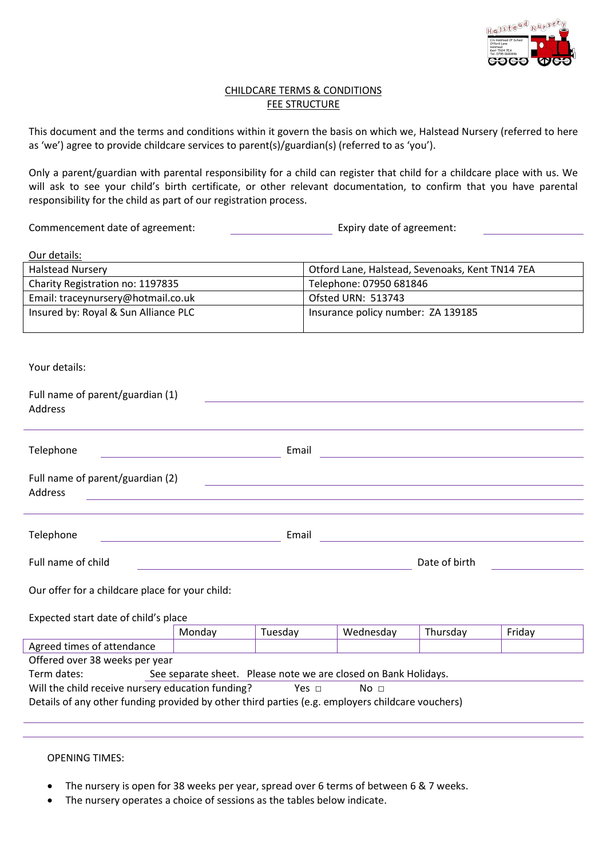

### CHILDCARE TERMS & CONDITIONS **FEE STRUCTURE**

This document and the terms and conditions within it govern the basis on which we, Halstead Nursery (referred to here as 'we') agree to provide childcare services to parent(s)/guardian(s) (referred to as 'you').

Only a parent/guardian with parental responsibility for a child can register that child for a childcare place with us. We will ask to see your child's birth certificate, or other relevant documentation, to confirm that you have parental responsibility for the child as part of our registration process.

Commencement date of agreement: Expiry date of agreement:

Our details:

| <b>Halstead Nursery</b>              | Otford Lane, Halstead, Sevenoaks, Kent TN14 7EA |
|--------------------------------------|-------------------------------------------------|
| Charity Registration no: 1197835     | Telephone: 07950 681846                         |
| Email: traceynursery@hotmail.co.uk   | Ofsted URN: 513743                              |
| Insured by: Royal & Sun Alliance PLC | Insurance policy number: ZA 139185              |

Your details:

| Full name of parent/guardian (1)<br>Address                                                                                                                            |       |               |
|------------------------------------------------------------------------------------------------------------------------------------------------------------------------|-------|---------------|
|                                                                                                                                                                        |       |               |
| Telephone                                                                                                                                                              | Email |               |
| Full name of parent/guardian (2)<br>Address<br><u> 1989 - John Stoff, deutscher Stoff, der Stoff, der Stoff, der Stoff, der Stoff, der Stoff, der Stoff, der Stoff</u> |       |               |
|                                                                                                                                                                        |       |               |
| Telephone                                                                                                                                                              | Email |               |
| Full name of child                                                                                                                                                     |       | Date of birth |
| Our offer for a childcare place for your child:                                                                                                                        |       |               |

Expected start date of child's place

| Monday                                                                                           | Tuesdav | Wednesday | Thursday | Fridav |  |
|--------------------------------------------------------------------------------------------------|---------|-----------|----------|--------|--|
|                                                                                                  |         |           |          |        |  |
| Offered over 38 weeks per year                                                                   |         |           |          |        |  |
| See separate sheet. Please note we are closed on Bank Holidays.                                  |         |           |          |        |  |
| Will the child receive nursery education funding?<br>Yes $\sqcap$<br>No ⊓                        |         |           |          |        |  |
| Details of any other funding provided by other third parties (e.g. employers childcare vouchers) |         |           |          |        |  |
|                                                                                                  |         |           |          |        |  |

#### OPENING TIMES:

- The nursery is open for 38 weeks per year, spread over 6 terms of between 6 & 7 weeks.
- The nursery operates a choice of sessions as the tables below indicate.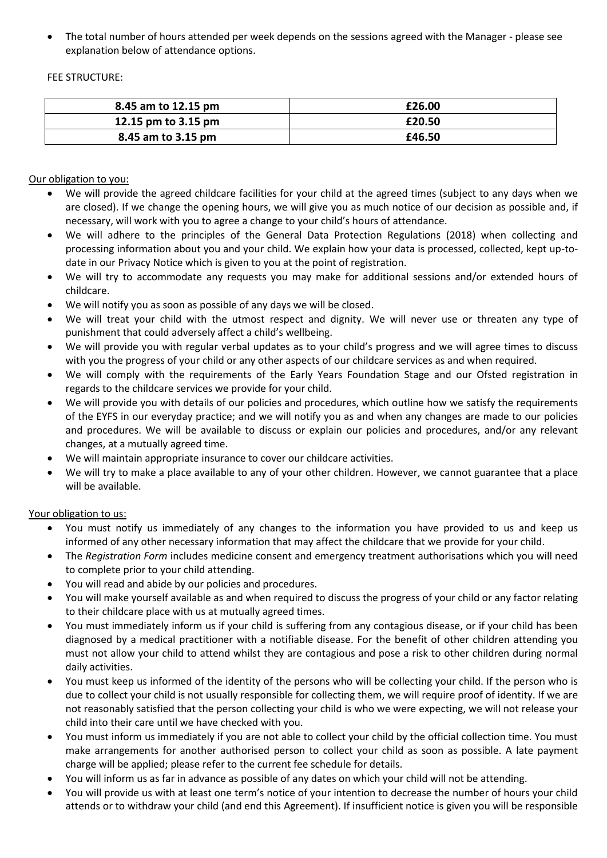• The total number of hours attended per week depends on the sessions agreed with the Manager - please see explanation below of attendance options.

FEE STRUCTURE:

| 8.45 am to 12.15 pm | £26.00 |
|---------------------|--------|
| 12.15 pm to 3.15 pm | £20.50 |
| 8.45 am to 3.15 pm  | £46.50 |
|                     |        |

Our obligation to you:

- We will provide the agreed childcare facilities for your child at the agreed times (subject to any days when we are closed). If we change the opening hours, we will give you as much notice of our decision as possible and, if necessary, will work with you to agree a change to your child's hours of attendance.
- We will adhere to the principles of the General Data Protection Regulations (2018) when collecting and processing information about you and your child. We explain how your data is processed, collected, kept up-todate in our Privacy Notice which is given to you at the point of registration.
- We will try to accommodate any requests you may make for additional sessions and/or extended hours of childcare.
- We will notify you as soon as possible of any days we will be closed.
- We will treat your child with the utmost respect and dignity. We will never use or threaten any type of punishment that could adversely affect a child's wellbeing.
- We will provide you with regular verbal updates as to your child's progress and we will agree times to discuss with you the progress of your child or any other aspects of our childcare services as and when required.
- We will comply with the requirements of the Early Years Foundation Stage and our Ofsted registration in regards to the childcare services we provide for your child.
- We will provide you with details of our policies and procedures, which outline how we satisfy the requirements of the EYFS in our everyday practice; and we will notify you as and when any changes are made to our policies and procedures. We will be available to discuss or explain our policies and procedures, and/or any relevant changes, at a mutually agreed time.
- We will maintain appropriate insurance to cover our childcare activities.
- We will try to make a place available to any of your other children. However, we cannot guarantee that a place will be available.

Your obligation to us:

- You must notify us immediately of any changes to the information you have provided to us and keep us informed of any other necessary information that may affect the childcare that we provide for your child.
- The *Registration Form* includes medicine consent and emergency treatment authorisations which you will need to complete prior to your child attending.
- You will read and abide by our policies and procedures.
- You will make yourself available as and when required to discuss the progress of your child or any factor relating to their childcare place with us at mutually agreed times.
- You must immediately inform us if your child is suffering from any contagious disease, or if your child has been diagnosed by a medical practitioner with a notifiable disease. For the benefit of other children attending you must not allow your child to attend whilst they are contagious and pose a risk to other children during normal daily activities.
- You must keep us informed of the identity of the persons who will be collecting your child. If the person who is due to collect your child is not usually responsible for collecting them, we will require proof of identity. If we are not reasonably satisfied that the person collecting your child is who we were expecting, we will not release your child into their care until we have checked with you.
- You must inform us immediately if you are not able to collect your child by the official collection time. You must make arrangements for another authorised person to collect your child as soon as possible. A late payment charge will be applied; please refer to the current fee schedule for details.
- You will inform us as far in advance as possible of any dates on which your child will not be attending.
- You will provide us with at least one term's notice of your intention to decrease the number of hours your child attends or to withdraw your child (and end this Agreement). If insufficient notice is given you will be responsible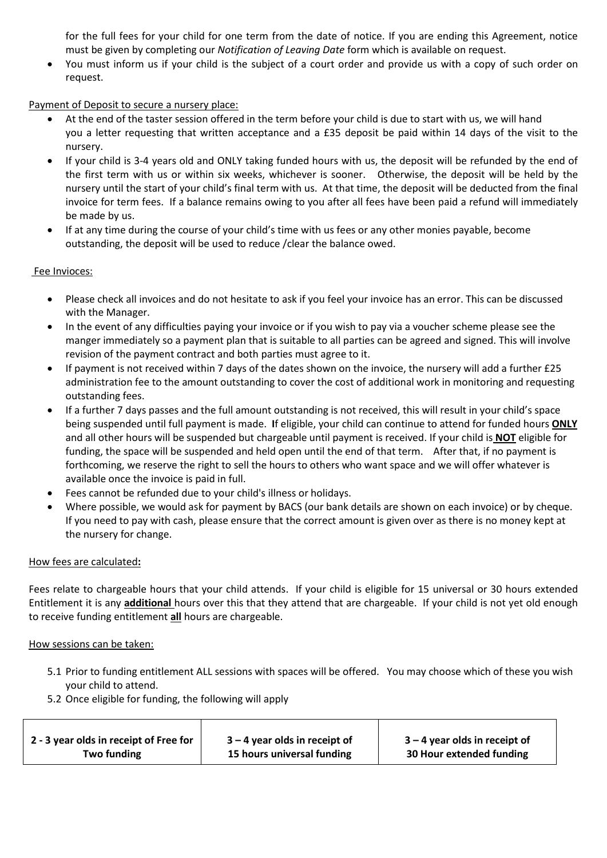for the full fees for your child for one term from the date of notice. If you are ending this Agreement, notice must be given by completing our *Notification of Leaving Date* form which is available on request.

• You must inform us if your child is the subject of a court order and provide us with a copy of such order on request.

# Payment of Deposit to secure a nursery place:

- At the end of the taster session offered in the term before your child is due to start with us, we will hand you a letter requesting that written acceptance and a £35 deposit be paid within 14 days of the visit to the nursery.
- If your child is 3-4 years old and ONLY taking funded hours with us, the deposit will be refunded by the end of the first term with us or within six weeks, whichever is sooner. Otherwise, the deposit will be held by the nursery until the start of your child's final term with us. At that time, the deposit will be deducted from the final invoice for term fees. If a balance remains owing to you after all fees have been paid a refund will immediately be made by us.
- If at any time during the course of your child's time with us fees or any other monies payable, become outstanding, the deposit will be used to reduce /clear the balance owed.

## Fee Invioces:

- Please check all invoices and do not hesitate to ask if you feel your invoice has an error. This can be discussed with the Manager.
- In the event of any difficulties paying your invoice or if you wish to pay via a voucher scheme please see the manger immediately so a payment plan that is suitable to all parties can be agreed and signed. This will involve revision of the payment contract and both parties must agree to it.
- If payment is not received within 7 days of the dates shown on the invoice, the nursery will add a further £25 administration fee to the amount outstanding to cover the cost of additional work in monitoring and requesting outstanding fees.
- If a further 7 days passes and the full amount outstanding is not received, this will result in your child's space being suspended until full payment is made. **I**f eligible, your child can continue to attend for funded hours **ONLY** and all other hours will be suspended but chargeable until payment is received. If your child is **NOT** eligible for funding, the space will be suspended and held open until the end of that term. After that, if no payment is forthcoming, we reserve the right to sell the hours to others who want space and we will offer whatever is available once the invoice is paid in full.
- Fees cannot be refunded due to your child's illness or holidays.
- Where possible, we would ask for payment by BACS (our bank details are shown on each invoice) or by cheque. If you need to pay with cash, please ensure that the correct amount is given over as there is no money kept at the nursery for change.

## How fees are calculated**:**

Fees relate to chargeable hours that your child attends. If your child is eligible for 15 universal or 30 hours extended Entitlement it is any **additional** hours over this that they attend that are chargeable. If your child is not yet old enough to receive funding entitlement **all** hours are chargeable.

#### How sessions can be taken:

- 5.1 Prior to funding entitlement ALL sessions with spaces will be offered. You may choose which of these you wish your child to attend.
- 5.2 Once eligible for funding, the following will apply

| 2 - 3 year olds in receipt of Free for | $3 - 4$ year olds in receipt of | $3 - 4$ year olds in receipt of |
|----------------------------------------|---------------------------------|---------------------------------|
| Two funding                            | 15 hours universal funding      | 30 Hour extended funding        |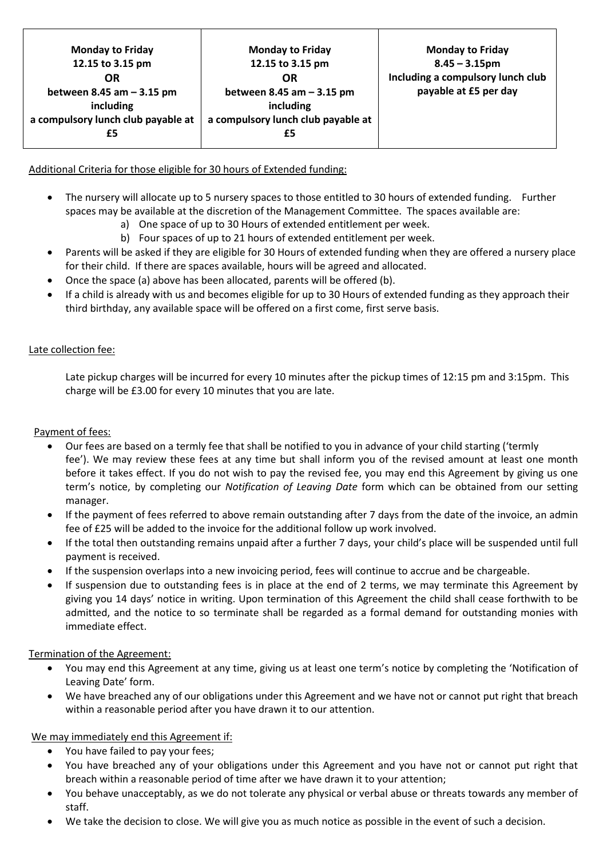| <b>Monday to Friday</b><br>12.15 to 3.15 pm | <b>Monday to Friday</b><br>12.15 to 3.15 pm | <b>Monday to Friday</b><br>$8.45 - 3.15$ pm |
|---------------------------------------------|---------------------------------------------|---------------------------------------------|
| OR                                          | OR                                          | Including a compulsory lunch club           |
| between 8.45 am $-$ 3.15 pm                 | between 8.45 am $-$ 3.15 pm                 | payable at £5 per day                       |
| including                                   | including                                   |                                             |
| a compulsory lunch club payable at          | a compulsory lunch club payable at          |                                             |
| £5                                          |                                             |                                             |
|                                             |                                             |                                             |

## Additional Criteria for those eligible for 30 hours of Extended funding:

- The nursery will allocate up to 5 nursery spaces to those entitled to 30 hours of extended funding. Further spaces may be available at the discretion of the Management Committee. The spaces available are:
	- a) One space of up to 30 Hours of extended entitlement per week.
	- b) Four spaces of up to 21 hours of extended entitlement per week.
- Parents will be asked if they are eligible for 30 Hours of extended funding when they are offered a nursery place for their child. If there are spaces available, hours will be agreed and allocated.
- Once the space (a) above has been allocated, parents will be offered (b).
- If a child is already with us and becomes eligible for up to 30 Hours of extended funding as they approach their third birthday, any available space will be offered on a first come, first serve basis.

### Late collection fee:

Late pickup charges will be incurred for every 10 minutes after the pickup times of 12:15 pm and 3:15pm. This charge will be £3.00 for every 10 minutes that you are late.

### Payment of fees:

- Our fees are based on a termly fee that shall be notified to you in advance of your child starting ('termly fee'). We may review these fees at any time but shall inform you of the revised amount at least one month before it takes effect. If you do not wish to pay the revised fee, you may end this Agreement by giving us one term's notice, by completing our *Notification of Leaving Date* form which can be obtained from our setting manager.
- If the payment of fees referred to above remain outstanding after 7 days from the date of the invoice, an admin fee of £25 will be added to the invoice for the additional follow up work involved.
- If the total then outstanding remains unpaid after a further 7 days, your child's place will be suspended until full payment is received.
- If the suspension overlaps into a new invoicing period, fees will continue to accrue and be chargeable.
- If suspension due to outstanding fees is in place at the end of 2 terms, we may terminate this Agreement by giving you 14 days' notice in writing. Upon termination of this Agreement the child shall cease forthwith to be admitted, and the notice to so terminate shall be regarded as a formal demand for outstanding monies with immediate effect.

#### Termination of the Agreement:

- You may end this Agreement at any time, giving us at least one term's notice by completing the 'Notification of Leaving Date' form.
- We have breached any of our obligations under this Agreement and we have not or cannot put right that breach within a reasonable period after you have drawn it to our attention.

## We may immediately end this Agreement if:

- You have failed to pay your fees;
- You have breached any of your obligations under this Agreement and you have not or cannot put right that breach within a reasonable period of time after we have drawn it to your attention;
- You behave unacceptably, as we do not tolerate any physical or verbal abuse or threats towards any member of staff.
- We take the decision to close. We will give you as much notice as possible in the event of such a decision.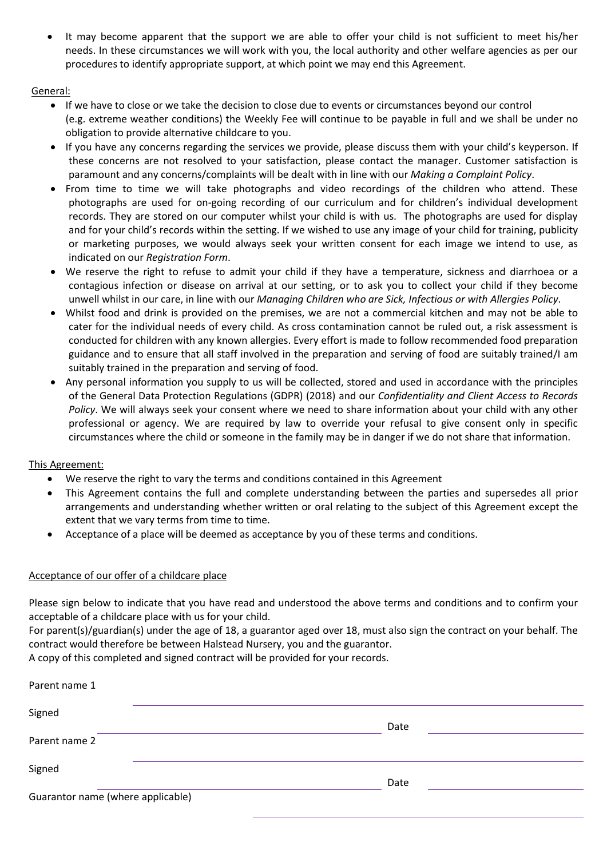• It may become apparent that the support we are able to offer your child is not sufficient to meet his/her needs. In these circumstances we will work with you, the local authority and other welfare agencies as per our procedures to identify appropriate support, at which point we may end this Agreement.

### General:

- If we have to close or we take the decision to close due to events or circumstances beyond our control (e.g. extreme weather conditions) the Weekly Fee will continue to be payable in full and we shall be under no obligation to provide alternative childcare to you.
- If you have any concerns regarding the services we provide, please discuss them with your child's keyperson. If these concerns are not resolved to your satisfaction, please contact the manager. Customer satisfaction is paramount and any concerns/complaints will be dealt with in line with our *Making a Complaint Policy*.
- From time to time we will take photographs and video recordings of the children who attend. These photographs are used for on-going recording of our curriculum and for children's individual development records. They are stored on our computer whilst your child is with us. The photographs are used for display and for your child's records within the setting. If we wished to use any image of your child for training, publicity or marketing purposes, we would always seek your written consent for each image we intend to use, as indicated on our *Registration Form*.
- We reserve the right to refuse to admit your child if they have a temperature, sickness and diarrhoea or a contagious infection or disease on arrival at our setting, or to ask you to collect your child if they become unwell whilst in our care, in line with our *Managing Children who are Sick, Infectious or with Allergies Policy*.
- Whilst food and drink is provided on the premises, we are not a commercial kitchen and may not be able to cater for the individual needs of every child. As cross contamination cannot be ruled out, a risk assessment is conducted for children with any known allergies. Every effort is made to follow recommended food preparation guidance and to ensure that all staff involved in the preparation and serving of food are suitably trained/I am suitably trained in the preparation and serving of food.
- Any personal information you supply to us will be collected, stored and used in accordance with the principles of the General Data Protection Regulations (GDPR) (2018) and our *Confidentiality and Client Access to Records Policy*. We will always seek your consent where we need to share information about your child with any other professional or agency. We are required by law to override your refusal to give consent only in specific circumstances where the child or someone in the family may be in danger if we do not share that information.

## This Agreement:

- We reserve the right to vary the terms and conditions contained in this Agreement
- This Agreement contains the full and complete understanding between the parties and supersedes all prior arrangements and understanding whether written or oral relating to the subject of this Agreement except the extent that we vary terms from time to time.
- Acceptance of a place will be deemed as acceptance by you of these terms and conditions.

## Acceptance of our offer of a childcare place

Please sign below to indicate that you have read and understood the above terms and conditions and to confirm your acceptable of a childcare place with us for your child.

For parent(s)/guardian(s) under the age of 18, a guarantor aged over 18, must also sign the contract on your behalf. The contract would therefore be between Halstead Nursery, you and the guarantor.

A copy of this completed and signed contract will be provided for your records.

| Parent name 1                     |      |
|-----------------------------------|------|
| Signed                            | Date |
| Parent name 2                     |      |
| Signed                            | Date |
| Guarantor name (where applicable) |      |